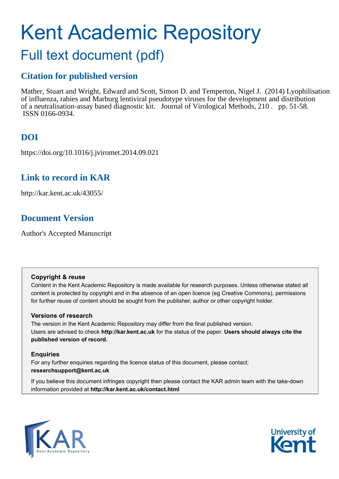## Kent Academic Repository Full text document (pdf)

### **Citation for published version**

Mather, Stuart and Wright, Edward and Scott, Simon D. and Temperton, Nigel J. (2014) Lyophilisation of influenza, rabies and Marburg lentiviral pseudotype viruses for the development and distribution of a neutralisation-assay based diagnostic kit. Journal of Virological Methods, 210 . pp. 51-58. ISSN 0166-0934.

## **DOI**

https://doi.org/10.1016/j.jviromet.2014.09.021

### **Link to record in KAR**

http://kar.kent.ac.uk/43055/

### **Document Version**

Author's Accepted Manuscript

#### **Copyright & reuse**

Content in the Kent Academic Repository is made available for research purposes. Unless otherwise stated all content is protected by copyright and in the absence of an open licence (eg Creative Commons), permissions for further reuse of content should be sought from the publisher, author or other copyright holder.

#### **Versions of research**

The version in the Kent Academic Repository may differ from the final published version. Users are advised to check **http://kar.kent.ac.uk** for the status of the paper. **Users should always cite the published version of record.**

#### **Enquiries**

For any further enquiries regarding the licence status of this document, please contact: **researchsupport@kent.ac.uk**

If you believe this document infringes copyright then please contact the KAR admin team with the take-down information provided at **http://kar.kent.ac.uk/contact.html**



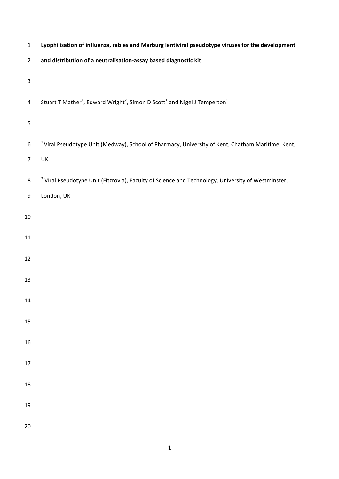| $\mathbf 1$               | Lyophilisation of influenza, rabies and Marburg lentiviral pseudotype viruses for the development                         |  |  |  |
|---------------------------|---------------------------------------------------------------------------------------------------------------------------|--|--|--|
| $\overline{2}$            | and distribution of a neutralisation-assay based diagnostic kit                                                           |  |  |  |
| $\ensuremath{\mathsf{3}}$ |                                                                                                                           |  |  |  |
| $\overline{\mathbf{4}}$   | Stuart T Mather <sup>1</sup> , Edward Wright <sup>2</sup> , Simon D Scott <sup>1</sup> and Nigel J Temperton <sup>1</sup> |  |  |  |
| 5                         |                                                                                                                           |  |  |  |
| $\boldsymbol{6}$          | <sup>1</sup> Viral Pseudotype Unit (Medway), School of Pharmacy, University of Kent, Chatham Maritime, Kent,              |  |  |  |
| $\overline{7}$            | UK                                                                                                                        |  |  |  |
| 8                         | <sup>2</sup> Viral Pseudotype Unit (Fitzrovia), Faculty of Science and Technology, University of Westminster,             |  |  |  |
| 9                         | London, UK                                                                                                                |  |  |  |
| $10\,$                    |                                                                                                                           |  |  |  |
| 11                        |                                                                                                                           |  |  |  |
| 12                        |                                                                                                                           |  |  |  |
| 13                        |                                                                                                                           |  |  |  |
| 14                        |                                                                                                                           |  |  |  |
| 15                        |                                                                                                                           |  |  |  |
| 16                        |                                                                                                                           |  |  |  |
| $17\,$                    |                                                                                                                           |  |  |  |
| 18                        |                                                                                                                           |  |  |  |
| 19                        |                                                                                                                           |  |  |  |
| 20                        |                                                                                                                           |  |  |  |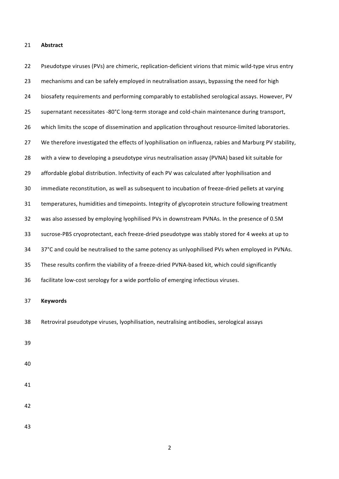#### 21 **Abstract**

22 Pseudotype viruses (PVs) are chimeric, replication-deficient virions that mimic wild-type virus entry 23 mechanisms and can be safely employed in neutralisation assays, bypassing the need for high 24 biosafety requirements and performing comparably to established serological assays. However, PV 25 supernatant necessitates -80°C long-term storage and cold-chain maintenance during transport, 26 which limits the scope of dissemination and application throughout resource-limited laboratories. 27 We therefore investigated the effects of lyophilisation on influenza, rabies and Marburg PV stability, 28 with a view to developing a pseudotype virus neutralisation assay (PVNA) based kit suitable for 29 affordable global distribution. Infectivity of each PV was calculated after lyophilisation and 30 immediate reconstitution, as well as subsequent to incubation of freeze-dried pellets at varying 31 temperatures, humidities and timepoints. Integrity of glycoprotein structure following treatment 32 was also assessed by employing lyophilised PVs in downstream PVNAs. In the presence of 0.5M 33 sucrose-PBS cryoprotectant, each freeze-dried pseudotype was stably stored for 4 weeks at up to 34 37°C and could be neutralised to the same potency as unlyophilised PVs when employed in PVNAs. 35 These results confirm the viability of a freeze-dried PVNA-based kit, which could significantly 36 facilitate low-cost serology for a wide portfolio of emerging infectious viruses. 37 **Keywords** 38 Retroviral pseudotype viruses, lyophilisation, neutralising antibodies, serological assays 39 40

- 41
- 42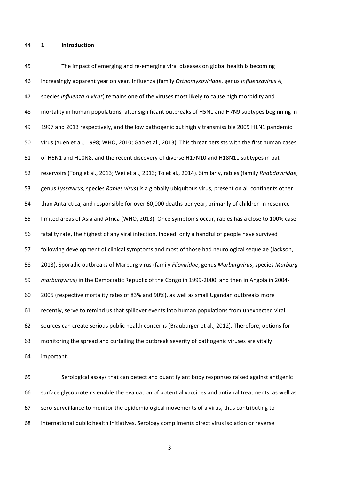44 **1 Introduction**

45 The impact of emerging and re-emerging viral diseases on global health is becoming 46 increasingly apparent year on year. Influenza (family Orthomyxoviridae, genus Influenzavirus A, 47 species *Influenza A virus*) remains one of the viruses most likely to cause high morbidity and 48 mortality in human populations, after significant outbreaks of H5N1 and H7N9 subtypes beginning in 49 1997 and 2013 respectively, and the low pathogenic but highly transmissible 2009 H1N1 pandemic 50 virus (Yuen et al., 1998; WHO, 2010; Gao et al., 2013). This threat persists with the first human cases 51 of H6N1 and H10N8, and the recent discovery of diverse H17N10 and H18N11 subtypes in bat 52 reservoirs (Tong et al., 2013; Wei et al., 2013; To et al., 2014). Similarly, rabies (family *Rhabdoviridae*, 53 genus Lyssavirus, species Rabies virus) is a globally ubiquitous virus, present on all continents other 54 than Antarctica, and responsible for over 60,000 deaths per year, primarily of children in resource-55 limited areas of Asia and Africa (WHO, 2013). Once symptoms occur, rabies has a close to 100% case 56 fatality rate, the highest of any viral infection. Indeed, only a handful of people have survived 57 following development of clinical symptoms and most of those had neurological sequelae (Jackson, 58 2013). Sporadic outbreaks of Marburg virus (family *Filoviridae*, genus *Marburgvirus*, species *Marburg* 59 *marburgvirus*) in the Democratic Republic of the Congo in 1999-2000, and then in Angola in 2004-60 2005 (respective mortality rates of 83% and 90%), as well as small Ugandan outbreaks more 61 recently, serve to remind us that spillover events into human populations from unexpected viral 62 sources can create serious public health concerns (Brauburger et al., 2012). Therefore, options for 63 monitoring the spread and curtailing the outbreak severity of pathogenic viruses are vitally 64 important.

65 Serological assays that can detect and quantify antibody responses raised against antigenic 66 surface glycoproteins enable the evaluation of potential vaccines and antiviral treatments, as well as 67 sero-surveillance to monitor the epidemiological movements of a virus, thus contributing to 68 international public health initiatives. Serology compliments direct virus isolation or reverse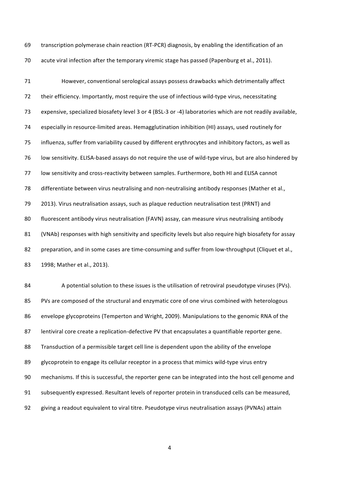69 transcription polymerase chain reaction (RT-PCR) diagnosis, by enabling the identification of an 70 acute viral infection after the temporary viremic stage has passed (Papenburg et al., 2011).

71 However, conventional serological assays possess drawbacks which detrimentally affect 72 their efficiency. Importantly, most require the use of infectious wild-type virus, necessitating 73 expensive, specialized biosafety level 3 or 4 (BSL-3 or -4) laboratories which are not readily available, 74 especially in resource-limited areas. Hemagglutination inhibition (HI) assays, used routinely for 75 influenza, suffer from variability caused by different erythrocytes and inhibitory factors, as well as 76 low sensitivity. ELISA-based assays do not require the use of wild-type virus, but are also hindered by 77 low sensitivity and cross-reactivity between samples. Furthermore, both HI and ELISA cannot 78 differentiate between virus neutralising and non-neutralising antibody responses (Mather et al., 79 2013). Virus neutralisation assays, such as plaque reduction neutralisation test (PRNT) and 80 fluorescent antibody virus neutralisation (FAVN) assay, can measure virus neutralising antibody 81 (VNAb) responses with high sensitivity and specificity levels but also require high biosafety for assay 82 preparation, and in some cases are time-consuming and suffer from low-throughput (Cliquet et al., 83 1998; Mather et al., 2013).

84 A potential solution to these issues is the utilisation of retroviral pseudotype viruses (PVs). 85 PVs are composed of the structural and enzymatic core of one virus combined with heterologous 86 envelope glycoproteins (Temperton and Wright, 2009). Manipulations to the genomic RNA of the 87 lentiviral core create a replication-defective PV that encapsulates a quantifiable reporter gene. 88 Transduction of a permissible target cell line is dependent upon the ability of the envelope 89 glycoprotein to engage its cellular receptor in a process that mimics wild-type virus entry 90 mechanisms. If this is successful, the reporter gene can be integrated into the host cell genome and 91 subsequently expressed. Resultant levels of reporter protein in transduced cells can be measured, 92 giving a readout equivalent to viral titre. Pseudotype virus neutralisation assays (PVNAs) attain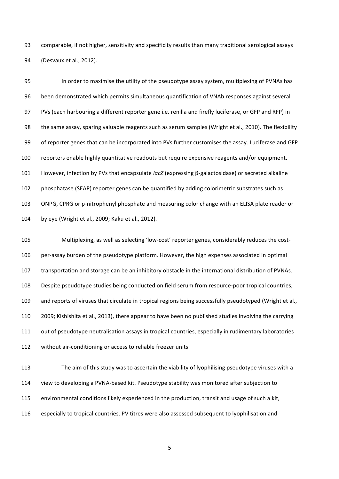93 comparable, if not higher, sensitivity and specificity results than many traditional serological assays 94 (Desvaux et al., 2012).

95 In order to maximise the utility of the pseudotype assay system, multiplexing of PVNAs has 96 been demonstrated which permits simultaneous quantification of VNAb responses against several 97 PVs (each harbouring a different reporter gene i.e. renilla and firefly luciferase, or GFP and RFP) in 98 the same assay, sparing valuable reagents such as serum samples (Wright et al., 2010). The flexibility 99 of reporter genes that can be incorporated into PVs further customises the assay. Luciferase and GFP 100 reporters enable highly quantitative readouts but require expensive reagents and/or equipment. 101 However, infection by PVs that encapsulate *lacZ* (expressing β-galactosidase) or secreted alkaline 102 phosphatase (SEAP) reporter genes can be quantified by adding colorimetric substrates such as 103 ONPG, CPRG or p-nitrophenyl phosphate and measuring color change with an ELISA plate reader or 104 by eye (Wright et al., 2009; Kaku et al., 2012).

105 Multiplexing, as well as selecting 'low-cost' reporter genes, considerably reduces the cost-106 per-assay burden of the pseudotype platform. However, the high expenses associated in optimal 107 transportation and storage can be an inhibitory obstacle in the international distribution of PVNAs. 108 Despite pseudotype studies being conducted on field serum from resource-poor tropical countries, 109 and reports of viruses that circulate in tropical regions being successfully pseudotyped (Wright et al., 110 2009; Kishishita et al., 2013), there appear to have been no published studies involving the carrying 111 out of pseudotype neutralisation assays in tropical countries, especially in rudimentary laboratories 112 without air-conditioning or access to reliable freezer units.

113 The aim of this study was to ascertain the viability of lyophilising pseudotype viruses with a 114 view to developing a PVNA-based kit. Pseudotype stability was monitored after subjection to 115 environmental conditions likely experienced in the production, transit and usage of such a kit, 116 especially to tropical countries. PV titres were also assessed subsequent to lyophilisation and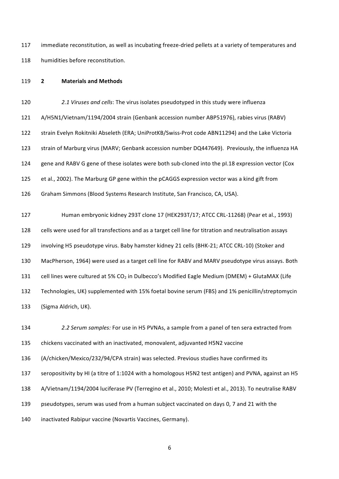117 immediate reconstitution, as well as incubating freeze-dried pellets at a variety of temperatures and 118 humidities before reconstitution.

#### 119 **2 Materials,and,Methods**

120 **2.1 Viruses and cells**: The virus isolates pseudotyped in this study were influenza 121 A/H5N1/Vietnam/1194/2004 strain (Genbank accession number ABP51976), rabies virus (RABV) 122 strain Evelyn Rokitniki Abseleth (ERA; UniProtKB/Swiss-Prot code ABN11294) and the Lake Victoria 123 strain of Marburg virus (MARV; Genbank accession number DQ447649). Previously, the influenza HA 124 gene and RABV G gene of these isolates were both sub-cloned into the pI.18 expression vector (Cox 125 et al., 2002). The Marburg GP gene within the pCAGGS expression vector was a kind gift from

126 Graham Simmons (Blood Systems Research Institute, San Francisco, CA, USA).

127 Human embryonic kidney 293T clone 17 (HEK293T/17; ATCC CRL-11268) (Pear et al., 1993) 128 cells were used for all transfections and as a target cell line for titration and neutralisation assays 129 involving H5 pseudotype virus. Baby hamster kidney 21 cells (BHK-21; ATCC CRL-10) (Stoker and 130 MacPherson, 1964) were used as a target cell line for RABV and MARV pseudotype virus assays. Both 131 cell lines were cultured at 5% CO<sub>2</sub> in Dulbecco's Modified Eagle Medium (DMEM) + GlutaMAX (Life 132 Technologies, UK) supplemented with 15% foetal bovine serum (FBS) and 1% penicillin/streptomycin 133 (Sigma Aldrich, UK).

134 **2.2 Serum samples:** For use in H5 PVNAs, a sample from a panel of ten sera extracted from 135 chickens vaccinated with an inactivated, monovalent, adjuvanted H5N2 vaccine

136 (A/chicken/Mexico/232/94/CPA strain) was selected. Previous studies have confirmed its

137 seropositivity by HI (a titre of 1:1024 with a homologous H5N2 test antigen) and PVNA, against an H5

138 A/Vietnam/1194/2004 luciferase PV (Terregino et al., 2010; Molesti et al., 2013). To neutralise RABV

139 pseudotypes, serum was used from a human subject vaccinated on days 0, 7 and 21 with the

140 inactivated Rabipur vaccine (Novartis Vaccines, Germany).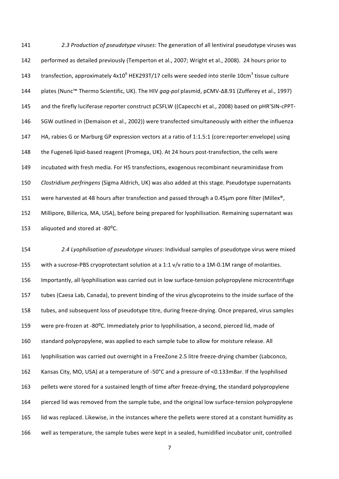141 **2.3 Production of pseudotype viruses**: The generation of all lentiviral pseudotype viruses was 142 performed as detailed previously (Temperton et al., 2007; Wright et al., 2008). 24 hours prior to 143 transfection, approximately 4x10<sup>6</sup> HEK293T/17 cells were seeded into sterile 10cm<sup>3</sup> tissue culture 144 plates (Nunc™ Thermo Scientific, UK). The HIV *gag-pol* plasmid, pCMV-∆8.91 (Zufferey et al., 1997) 145 and the firefly luciferase reporter construct pCSFLW ((Capecchi et al., 2008) based on pHR'SIN-cPPT-146 SGW outlined in (Demaison et al., 2002)) were transfected simultaneously with either the influenza 147 HA, rabies G or Marburg GP expression vectors at a ratio of 1:1.5:1 (core:reporter:envelope) using 148 the Fugene6 lipid-based reagent (Promega, UK). At 24 hours post-transfection, the cells were 149 incubated with fresh media. For H5 transfections, exogenous recombinant neuraminidase from 150 *Clostridium perfringens* (Sigma Aldrich, UK) was also added at this stage. Pseudotype supernatants 151 were harvested at 48 hours after transfection and passed through a 0.45µm pore filter (Millex®, 152 Millipore, Billerica, MA, USA), before being prepared for lyophilisation. Remaining supernatant was 153 aliquoted and stored at  $-80^{\circ}$ C.

154 2.4 Lyophilisation of pseudotype viruses: Individual samples of pseudotype virus were mixed 155 with a sucrose-PBS cryoprotectant solution at a 1:1 v/v ratio to a 1M-0.1M range of molarities. 156 Importantly, all lyophilisation was carried out in low surface-tension polypropylene microcentrifuge 157 tubes (Caesa Lab, Canada), to prevent binding of the virus glycoproteins to the inside surface of the 158 tubes, and subsequent loss of pseudotype titre, during freeze-drying. Once prepared, virus samples 159 were pre-frozen at -80°C. Immediately prior to lyophilisation, a second, pierced lid, made of 160 standard polypropylene, was applied to each sample tube to allow for moisture release. All 161 lyophilisation was carried out overnight in a FreeZone 2.5 litre freeze-drying chamber (Labconco, 162 Kansas City, MO, USA) at a temperature of -50°C and a pressure of <0.133mBar. If the lyophilised 163 pellets were stored for a sustained length of time after freeze-drying, the standard polypropylene 164 pierced lid was removed from the sample tube, and the original low surface-tension polypropylene 165 lid was replaced. Likewise, in the instances where the pellets were stored at a constant humidity as 166 well as temperature, the sample tubes were kept in a sealed, humidified incubator unit, controlled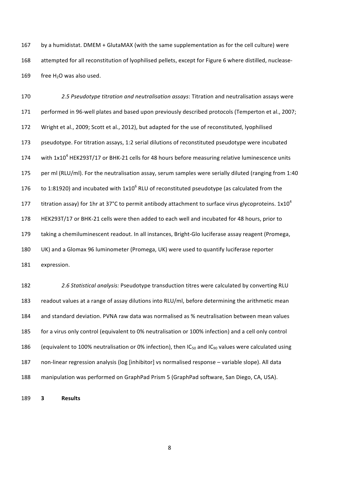167 by a humidistat. DMEM + GlutaMAX (with the same supplementation as for the cell culture) were 168 attempted for all reconstitution of lyophilised pellets, except for Figure 6 where distilled, nuclease-169 free  $H<sub>2</sub>O$  was also used.

170 **2.5 Pseudotype titration and neutralisation assays**: Titration and neutralisation assays were 171 performed in 96-well plates and based upon previously described protocols (Temperton et al., 2007; 172 Wright et al., 2009; Scott et al., 2012), but adapted for the use of reconstituted, lyophilised 173 pseudotype. For titration assays, 1:2 serial dilutions of reconstituted pseudotype were incubated 174 with  $1x10^4$  HEK293T/17 or BHK-21 cells for 48 hours before measuring relative luminescence units 175 per ml (RLU/ml). For the neutralisation assay, serum samples were serially diluted (ranging from 1:40") 176 to 1:81920) and incubated with 1x10<sup>6</sup> RLU of reconstituted pseudotype (as calculated from the titration assay) for 1hr at 37°C to permit antibody attachment to surface virus glycoproteins.  $1x10^4$ 177 178 HEK293T/17 or BHK-21 cells were then added to each well and incubated for 48 hours, prior to 179 taking a chemiluminescent readout. In all instances, Bright-Glo luciferase assay reagent (Promega, 180 UK) and a Glomax 96 luminometer (Promega, UK) were used to quantify luciferase reporter 181 expression.

182 **2.6 Statistical analysis:** Pseudotype transduction titres were calculated by converting RLU 183 readout values at a range of assay dilutions into RLU/ml, before determining the arithmetic mean 184 and standard deviation. PVNA raw data was normalised as % neutralisation between mean values 185 for a virus only control (equivalent to 0% neutralisation or 100% infection) and a cell only control 186 (equivalent to 100% neutralisation or 0% infection), then IC<sub>50</sub> and IC<sub>90</sub> values were calculated using 187 non-linear regression analysis (log [inhibitor] vs normalised response – variable slope). All data 188 manipulation was performed on GraphPad Prism 5 (GraphPad software, San Diego, CA, USA).

189 **3 Results**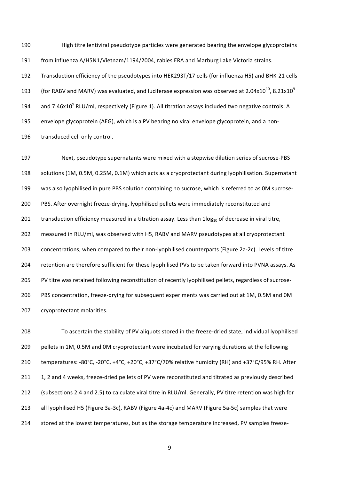190 High titre lentiviral pseudotype particles were generated bearing the envelope glycoproteins 191 from influenza A/H5N1/Vietnam/1194/2004, rabies ERA and Marburg Lake Victoria strains. 192 Transduction efficiency of the pseudotypes into HEK293T/17 cells (for influenza H5) and BHK-21 cells 193 (for RABV and MARV) was evaluated, and luciferase expression was observed at 2.04x10<sup>10</sup>, 8.21x10<sup>9</sup> 194 and 7.46x10<sup>9</sup> RLU/ml, respectively (Figure 1). All titration assays included two negative controls: ∆ 195 envelope glycoprotein (ΔEG), which is a PV bearing no viral envelope glycoprotein, and a non-196 transduced cell only control.

197 Next, pseudotype supernatants were mixed with a stepwise dilution series of sucrose-PBS 198 solutions (1M, 0.5M, 0.25M, 0.1M) which acts as a cryoprotectant during lyophilisation. Supernatant 199 was also lyophilised in pure PBS solution containing no sucrose, which is referred to as 0M sucrose-200 PBS. After overnight freeze-drying, lyophilised pellets were immediately reconstituted and 201 transduction efficiency measured in a titration assay. Less than  $1\log_{10}$  of decrease in viral titre, 202 measured in RLU/ml, was observed with H5, RABV and MARV pseudotypes at all cryoprotectant 203 concentrations, when compared to their non-lyophilised counterparts (Figure 2a-2c). Levels of titre 204 retention are therefore sufficient for these lyophilised PVs to be taken forward into PVNA assays. As 205 PV titre was retained following reconstitution of recently lyophilised pellets, regardless of sucrose-206 PBS concentration, freeze-drying for subsequent experiments was carried out at 1M, 0.5M and 0M 207 cryoprotectant molarities.

208 To ascertain the stability of PV aliquots stored in the freeze-dried state, individual lyophilised 209 pellets in 1M, 0.5M and 0M cryoprotectant were incubated for varying durations at the following 210 temperatures: -80°C, -20°C, +4°C, +20°C, +37°C/70% relative humidity (RH) and +37°C/95% RH. After 211 1, 2 and 4 weeks, freeze-dried pellets of PV were reconstituted and titrated as previously described 212 (subsections 2.4 and 2.5) to calculate viral titre in RLU/ml. Generally, PV titre retention was high for 213 all lyophilised H5 (Figure 3a-3c), RABV (Figure 4a-4c) and MARV (Figure 5a-5c) samples that were 214 stored at the lowest temperatures, but as the storage temperature increased, PV samples freeze-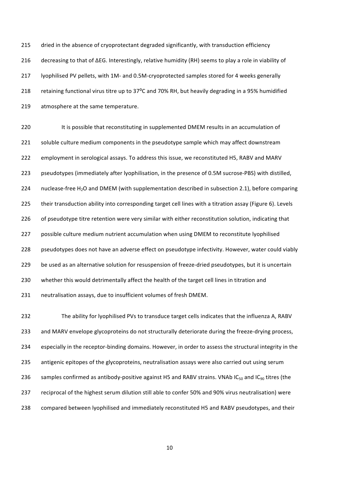215 dried in the absence of cryoprotectant degraded significantly, with transduction efficiency 216 decreasing to that of ∆EG. Interestingly, relative humidity (RH) seems to play a role in viability of 217 lyophilised PV pellets, with 1M- and 0.5M-cryoprotected samples stored for 4 weeks generally 218 retaining functional virus titre up to 37<sup>o</sup>C and 70% RH, but heavily degrading in a 95% humidified 219 atmosphere at the same temperature.

220 It is possible that reconstituting in supplemented DMEM results in an accumulation of 221 soluble culture medium components in the pseudotype sample which may affect downstream 222 employment in serological assays. To address this issue, we reconstituted H5, RABV and MARV 223 pseudotypes (immediately after lyophilisation, in the presence of 0.5M sucrose-PBS) with distilled, 224 nuclease-free  $H_2O$  and DMEM (with supplementation described in subsection 2.1), before comparing 225 their transduction ability into corresponding target cell lines with a titration assay (Figure 6). Levels 226 of pseudotype titre retention were very similar with either reconstitution solution, indicating that 227 possible culture medium nutrient accumulation when using DMEM to reconstitute lyophilised 228 pseudotypes does not have an adverse effect on pseudotype infectivity. However, water could viably 229 be used as an alternative solution for resuspension of freeze-dried pseudotypes, but it is uncertain 230 whether this would detrimentally affect the health of the target cell lines in titration and 231 neutralisation assays, due to insufficient volumes of fresh DMEM.

232 The ability for lyophilised PVs to transduce target cells indicates that the influenza A, RABV 233 and MARV envelope glycoproteins do not structurally deteriorate during the freeze-drying process, 234 especially in the receptor-binding domains. However, in order to assess the structural integrity in the 235 antigenic epitopes of the glycoproteins, neutralisation assays were also carried out using serum 236 samples confirmed as antibody-positive against H5 and RABV strains. VNAb IC<sub>50</sub> and IC<sub>90</sub> titres (the 237 reciprocal of the highest serum dilution still able to confer 50% and 90% virus neutralisation) were 238 compared between lyophilised and immediately reconstituted H5 and RABV pseudotypes, and their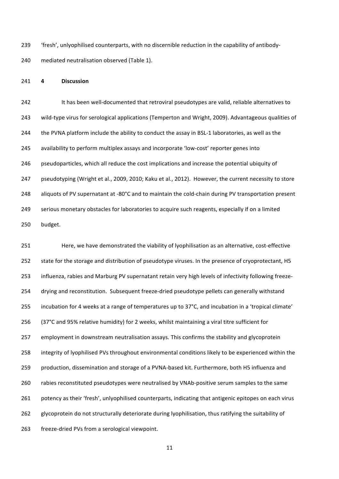239 'fresh', unlyophilised counterparts, with no discernible reduction in the capability of antibody-240 mediated neutralisation observed (Table 1).

#### 241 **4 Discussion**

242 It has been well-documented that retroviral pseudotypes are valid, reliable alternatives to 243 wild-type virus for serological applications (Temperton and Wright, 2009). Advantageous qualities of 244 the PVNA platform include the ability to conduct the assay in BSL-1 laboratories, as well as the 245 availability to perform multiplex assays and incorporate 'low-cost' reporter genes into 246 pseudoparticles, which all reduce the cost implications and increase the potential ubiquity of 247 pseudotyping (Wright et al., 2009, 2010; Kaku et al., 2012). However, the current necessity to store 248 aliquots of PV supernatant at -80°C and to maintain the cold-chain during PV transportation present 249 serious monetary obstacles for laboratories to acquire such reagents, especially if on a limited 250 budget.

251 Here, we have demonstrated the viability of lyophilisation as an alternative, cost-effective 252 state for the storage and distribution of pseudotype viruses. In the presence of cryoprotectant, H5 253 influenza, rabies and Marburg PV supernatant retain very high levels of infectivity following freeze-254 drying and reconstitution. Subsequent freeze-dried pseudotype pellets can generally withstand 255 incubation for 4 weeks at a range of temperatures up to 37°C, and incubation in a 'tropical climate' 256 (37°C and 95% relative humidity) for 2 weeks, whilst maintaining a viral titre sufficient for 257 employment in downstream neutralisation assays. This confirms the stability and glycoprotein 258 integrity of lyophilised PVs throughout environmental conditions likely to be experienced within the 259 production, dissemination and storage of a PVNA-based kit. Furthermore, both H5 influenza and 260 rabies reconstituted pseudotypes were neutralised by VNAb-positive serum samples to the same 261 potency as their 'fresh', unlyophilised counterparts, indicating that antigenic epitopes on each virus 262 glycoprotein do not structurally deteriorate during lyophilisation, thus ratifying the suitability of 263 freeze-dried PVs from a serological viewpoint.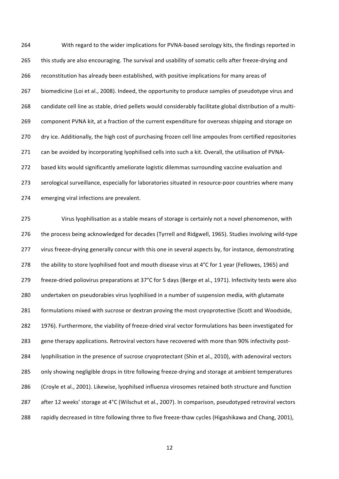264 With regard to the wider implications for PVNA-based serology kits, the findings reported in 265 this study are also encouraging. The survival and usability of somatic cells after freeze-drying and 266 reconstitution has already been established, with positive implications for many areas of 267 biomedicine (Loi et al., 2008). Indeed, the opportunity to produce samples of pseudotype virus and 268 candidate cell line as stable, dried pellets would considerably facilitate global distribution of a multi-269 component PVNA kit, at a fraction of the current expenditure for overseas shipping and storage on 270 dry ice. Additionally, the high cost of purchasing frozen cell line ampoules from certified repositories 271 can be avoided by incorporating lyophilised cells into such a kit. Overall, the utilisation of PVNA-272 based kits would significantly ameliorate logistic dilemmas surrounding vaccine evaluation and 273 serological surveillance, especially for laboratories situated in resource-poor countries where many 274 emerging viral infections are prevalent.

275 Virus lyophilisation as a stable means of storage is certainly not a novel phenomenon, with 276 the process being acknowledged for decades (Tyrrell and Ridgwell, 1965). Studies involving wild-type 277 virus freeze-drying generally concur with this one in several aspects by, for instance, demonstrating 278 the ability to store lyophilised foot and mouth disease virus at 4°C for 1 year (Fellowes, 1965) and 279 freeze-dried poliovirus preparations at 37°C for 5 days (Berge et al., 1971). Infectivity tests were also 280 undertaken on pseudorabies virus lyophilised in a number of suspension media, with glutamate 281 formulations mixed with sucrose or dextran proving the most cryoprotective (Scott and Woodside, 282 1976). Furthermore, the viability of freeze-dried viral vector formulations has been investigated for 283 gene therapy applications. Retroviral vectors have recovered with more than 90% infectivity post-284 lyophilisation in the presence of sucrose cryoprotectant (Shin et al., 2010), with adenoviral vectors 285 only showing negligible drops in titre following freeze-drying and storage at ambient temperatures" 286 (Croyle et al., 2001). Likewise, lyophilsed influenza virosomes retained both structure and function 287 after 12 weeks' storage at 4°C (Wilschut et al., 2007). In comparison, pseudotyped retroviral vectors 288 rapidly decreased in titre following three to five freeze-thaw cycles (Higashikawa and Chang, 2001),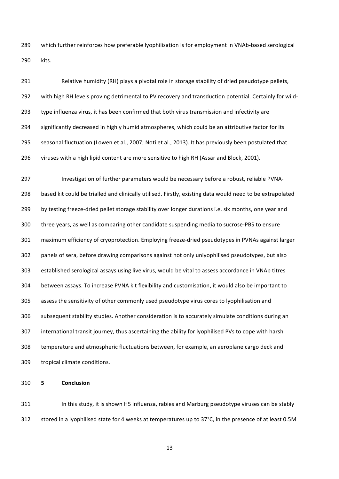289 which further reinforces how preferable lyophilisation is for employment in VNAb-based serological 290 kits."

291 Relative humidity (RH) plays a pivotal role in storage stability of dried pseudotype pellets, 292 with high RH levels proving detrimental to PV recovery and transduction potential. Certainly for wild-293 type influenza virus, it has been confirmed that both virus transmission and infectivity are 294 significantly decreased in highly humid atmospheres, which could be an attributive factor for its 295 seasonal fluctuation (Lowen et al., 2007; Noti et al., 2013). It has previously been postulated that 296 viruses with a high lipid content are more sensitive to high RH (Assar and Block, 2001).

297 Investigation of further parameters would be necessary before a robust, reliable PVNA-298 based kit could be trialled and clinically utilised. Firstly, existing data would need to be extrapolated 299 by testing freeze-dried pellet storage stability over longer durations i.e. six months, one year and 300 three years, as well as comparing other candidate suspending media to sucrose-PBS to ensure 301 maximum efficiency of cryoprotection. Employing freeze-dried pseudotypes in PVNAs against larger 302 panels of sera, before drawing comparisons against not only unlyophilised pseudotypes, but also 303 established serological assays using live virus, would be vital to assess accordance in VNAb titres 304 between assays. To increase PVNA kit flexibility and customisation, it would also be important to 305 assess the sensitivity of other commonly used pseudotype virus cores to lyophilisation and 306 subsequent stability studies. Another consideration is to accurately simulate conditions during an 307 international transit journey, thus ascertaining the ability for lyophilised PVs to cope with harsh 308 temperature and atmospheric fluctuations between, for example, an aeroplane cargo deck and 309 tropical climate conditions.

310 **5 Conclusion**

311 In this study, it is shown H5 influenza, rabies and Marburg pseudotype viruses can be stably 312 stored in a lyophilised state for 4 weeks at temperatures up to 37°C, in the presence of at least 0.5M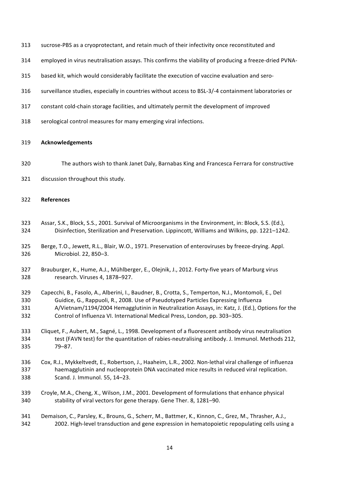- 313 sucrose-PBS as a cryoprotectant, and retain much of their infectivity once reconstituted and
- 314 employed in virus neutralisation assays. This confirms the viability of producing a freeze-dried PVNA-
- 315 based kit, which would considerably facilitate the execution of vaccine evaluation and sero-
- 316 surveillance studies, especially in countries without access to BSL-3/-4 containment laboratories or
- 317 constant cold-chain storage facilities, and ultimately permit the development of improved
- 318 serological control measures for many emerging viral infections.

#### 319 **Acknowledgements**

- 320 The authors wish to thank Janet Daly, Barnabas King and Francesca Ferrara for constructive
- 321 discussion throughout this study.

#### 322 **References**

- 323 Assar, S.K., Block, S.S., 2001. Survival of Microorganisms in the Environment, in: Block, S.S. (Ed.), 324 Disinfection, Sterilization and Preservation. Lippincott, Williams and Wilkins, pp. 1221–1242.
- 325 Berge, T.O., Jewett, R.L., Blair, W.O., 1971. Preservation of enteroviruses by freeze-drying. Appl. 326 Microbiol. 22, 850–3.
- 327 Brauburger, K., Hume, A.J., Mühlberger, E., Olejnik, J., 2012. Forty-five years of Marburg virus 328 research. Viruses 4, 1878–927.
- 329 Capecchi, B., Fasolo, A., Alberini, I., Baudner, B., Crotta, S., Temperton, N.J., Montomoli, E., Del 330 Guidice, G., Rappuoli, R., 2008. Use of Pseudotyped Particles Expressing Influenza 331 A/Vietnam/1194/2004 Hemagglutinin in Neutralization Assays, in: Katz, J. (Ed.), Options for the 332 Control of Influenza VI. International Medical Press, London, pp. 303–305.
- 333 Cliquet, F., Aubert, M., Sagné, L., 1998. Development of a fluorescent antibody virus neutralisation 334 test (FAVN test) for the quantitation of rabies-neutralising antibody. J. Immunol. Methods 212, 335 79–87.
- 336 Cox, R.J., Mykkeltvedt, E., Robertson, J., Haaheim, L.R., 2002. Non-lethal viral challenge of influenza 337 haemagglutinin and nucleoprotein DNA vaccinated mice results in reduced viral replication. 338 Scand. J. Immunol. 55, 14–23.
- 339 Croyle, M.A., Cheng, X., Wilson, J.M., 2001. Development of formulations that enhance physical 340 stability of viral vectors for gene therapy. Gene Ther. 8, 1281–90.
- 341 Demaison, C., Parsley, K., Brouns, G., Scherr, M., Battmer, K., Kinnon, C., Grez, M., Thrasher, A.J., 342 2002. High-level transduction and gene expression in hematopoietic repopulating cells using a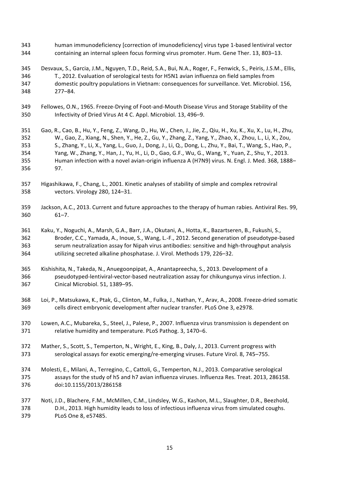- 343 human immunodeficiency [correction of imunodeficiency] virus type 1-based lentiviral vector 344 containing an internal spleen focus forming virus promoter. Hum. Gene Ther. 13, 803-13.
- 345 Desvaux, S., Garcia, J.M., Nguyen, T.D., Reid, S.A., Bui, N.A., Roger, F., Fenwick, S., Peiris, J.S.M., Ellis, 346 T., 2012. Evaluation of serological tests for H5N1 avian influenza on field samples from 347 domestic poultry populations in Vietnam: consequences for surveillance. Vet. Microbiol. 156, 348 277–84."
- 349 Fellowes, O.N., 1965. Freeze-Drying of Foot-and-Mouth Disease Virus and Storage Stability of the 350 Infectivity of Dried Virus At 4 C. Appl. Microbiol. 13, 496–9.
- 351 Gao, R., Cao, B., Hu, Y., Feng, Z., Wang, D., Hu, W., Chen, J., Jie, Z., Qiu, H., Xu, K., Xu, X., Lu, H., Zhu, 352 W., Gao, Z., Xiang, N., Shen, Y., He, Z., Gu, Y., Zhang, Z., Yang, Y., Zhao, X., Zhou, L., Li, X., Zou, 353 S., Zhang, Y., Li, X., Yang, L., Guo, J., Dong, J., Li, Q., Dong, L., Zhu, Y., Bai, T., Wang, S., Hao, P., 354 Yang, W., Zhang, Y., Han, J., Yu, H., Li, D., Gao, G.F., Wu, G., Wang, Y., Yuan, Z., Shu, Y., 2013. 355 Human infection with a novel avian-origin influenza A (H7N9) virus. N. Engl. J. Med. 368, 1888– 356 97."
- 357 Higashikawa, F., Chang, L., 2001. Kinetic analyses of stability of simple and complex retroviral 358 vectors. Virology 280, 124–31.
- 359 Jackson, A.C., 2013. Current and future approaches to the therapy of human rabies. Antiviral Res. 99, 360 61–7."
- 361 Kaku, Y., Noguchi, A., Marsh, G.A., Barr, J.A., Okutani, A., Hotta, K., Bazartseren, B., Fukushi, S., 362 Broder, C.C., Yamada, A., Inoue, S., Wang, L.-F., 2012. Second generation of pseudotype-based 363 serum neutralization assay for Nipah virus antibodies: sensitive and high-throughput analysis 364 utilizing secreted alkaline phosphatase. J. Virol. Methods 179, 226–32.
- 365 Kishishita, N., Takeda, N., Anuegoonpipat, A., Anantapreecha, S., 2013. Development of a 366 pseudotyped-lentiviral-vector-based neutralization assay for chikungunya virus infection. J. 367 Cinical Microbiol. 51, 1389–95.
- 368 Loi, P., Matsukawa, K., Ptak, G., Clinton, M., Fulka, J., Nathan, Y., Arav, A., 2008. Freeze-dried somatic 369 cells direct embryonic development after nuclear transfer. PLoS One 3, e2978.
- 370 Lowen, A.C., Mubareka, S., Steel, J., Palese, P., 2007. Influenza virus transmission is dependent on 371 relative humidity and temperature. PLoS Pathog. 3, 1470–6.
- 372 Mather, S., Scott, S., Temperton, N., Wright, E., King, B., Daly, J., 2013. Current progress with 373 serological assays for exotic emerging/re-emerging viruses. Future Virol. 8, 745–755.
- 374 Molesti, E., Milani, A., Terregino, C., Cattoli, G., Temperton, N.J., 2013. Comparative serological 375 assays for the study of h5 and h7 avian influenza viruses. Influenza Res. Treat. 2013, 286158. 376 doi:10.1155/2013/286158
- 377 Noti, J.D., Blachere, F.M., McMillen, C.M., Lindsley, W.G., Kashon, M.L., Slaughter, D.R., Beezhold, 378 D.H., 2013. High humidity leads to loss of infectious influenza virus from simulated coughs. 379 PLoS One 8, e57485.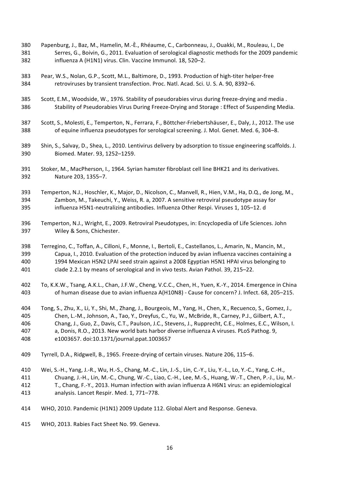- 380 Papenburg, J., Baz, M., Hamelin, M.-È., Rhéaume, C., Carbonneau, J., Ouakki, M., Rouleau, I., De 381 Serres, G., Boivin, G., 2011. Evaluation of serological diagnostic methods for the 2009 pandemic 382 influenza A (H1N1) virus. Clin. Vaccine Immunol. 18, 520–2.
- 383 Pear, W.S., Nolan, G.P., Scott, M.L., Baltimore, D., 1993. Production of high-titer helper-free 384 retroviruses by transient transfection. Proc. Natl. Acad. Sci. U. S. A. 90, 8392–6.
- 385 Scott, E.M., Woodside, W., 1976. Stability of pseudorabies virus during freeze-drying and media. 386 Stability of Pseudorabies Virus During Freeze-Drying and Storage : Effect of Suspending Media.
- 387 Scott, S., Molesti, E., Temperton, N., Ferrara, F., Böttcher-Friebertshäuser, E., Daly, J., 2012. The use 388 of equine influenza pseudotypes for serological screening. J. Mol. Genet. Med. 6, 304–8.
- 389 Shin, S., Salvay, D., Shea, L., 2010. Lentivirus delivery by adsorption to tissue engineering scaffolds. J. 390 Biomed. Mater. 93, 1252–1259.
- 391 Stoker, M., MacPherson, I., 1964. Syrian hamster fibroblast cell line BHK21 and its derivatives. 392 Nature 203, 1355–7.
- 393 Temperton, N.J., Hoschler, K., Major, D., Nicolson, C., Manvell, R., Hien, V.M., Ha, D.Q., de Jong, M., 394 Zambon, M., Takeuchi, Y., Weiss, R. a, 2007. A sensitive retroviral pseudotype assay for 395 influenza H5N1-neutralizing antibodies. Influenza Other Respi. Viruses 1, 105–12. d
- 396 Temperton, N.J., Wright, E., 2009. Retroviral Pseudotypes, in: Encyclopedia of Life Sciences. John 397 Wiley & Sons, Chichester.
- 398 Terregino, C., Toffan, A., Cilloni, F., Monne, I., Bertoli, E., Castellanos, L., Amarin, N., Mancin, M., 399 Capua, I., 2010. Evaluation of the protection induced by avian influenza vaccines containing a 400 1994 Mexican H5N2 LPAI seed strain against a 2008 Egyptian H5N1 HPAI virus belonging to 401 clade 2.2.1 by means of serological and in vivo tests. Avian Pathol. 39, 215–22.
- 402 To, K.K.W., Tsang, A.K.L., Chan, J.F.W., Cheng, V.C.C., Chen, H., Yuen, K.-Y., 2014. Emergence in China 403 of human disease due to avian influenza A(H10N8) - Cause for concern? J. Infect. 68, 205–215.
- 404 Tong, S., Zhu, X., Li, Y., Shi, M., Zhang, J., Bourgeois, M., Yang, H., Chen, X., Recuenco, S., Gomez, J., 405 Chen, L.-M., Johnson, A., Tao, Y., Dreyfus, C., Yu, W., McBride, R., Carney, P.J., Gilbert, A.T., 406 Chang, J., Guo, Z., Davis, C.T., Paulson, J.C., Stevens, J., Rupprecht, C.E., Holmes, E.C., Wilson, I. 407 a, Donis, R.O., 2013. New world bats harbor diverse influenza A viruses. PLoS Pathog. 9, 408 e1003657. doi:10.1371/journal.ppat.1003657
- 409 Tyrrell, D.A., Ridgwell, B., 1965. Freeze-drying of certain viruses. Nature 206, 115–6.
- 410 Wei, S.-H., Yang, J.-R., Wu, H.-S., Chang, M.-C., Lin, J.-S., Lin, C.-Y., Liu, Y.-L., Lo, Y.-C., Yang, C.-H.,
- 411 Chuang, J.-H., Lin, M.-C., Chung, W.-C., Liao, C.-H., Lee, M.-S., Huang, W.-T., Chen, P.-J., Liu, M.-
- 412 T., Chang, F.-Y., 2013. Human infection with avian influenza A H6N1 virus: an epidemiological 413 analysis. Lancet Respir. Med. 1, 771–778.
- 414 WHO, 2010. Pandemic (H1N1) 2009 Update 112. Global Alert and Response. Geneva.
- 415 WHO, 2013. Rabies Fact Sheet No. 99. Geneva.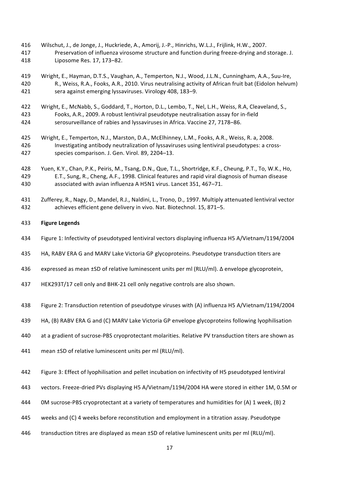- 416 Wilschut, J., de Jonge, J., Huckriede, A., Amorij, J.-P., Hinrichs, W.L.J., Frijlink, H.W., 2007. 417 Preservation of influenza virosome structure and function during freeze-drying and storage. J. 418 Liposome Res. 17, 173–82.
- 419 Wright, E., Hayman, D.T.S., Vaughan, A., Temperton, N.J., Wood, J.L.N., Cunningham, A.A., Suu-Ire, 420 R., Weiss, R.A., Fooks, A.R., 2010. Virus neutralising activity of African fruit bat (Eidolon helvum) 421 sera against emerging lyssaviruses. Virology 408, 183-9.
- 422 Wright, E., McNabb, S., Goddard, T., Horton, D.L., Lembo, T., Nel, L.H., Weiss, R.A, Cleaveland, S., 423 Fooks, A.R., 2009. A robust lentiviral pseudotype neutralisation assay for in-field 424 serosurveillance of rabies and lyssaviruses in Africa. Vaccine 27, 7178–86.
- 425 Wright, E., Temperton, N.J., Marston, D.A., McElhinney, L.M., Fooks, A.R., Weiss, R. a, 2008. 426 Investigating antibody neutralization of lyssaviruses using lentiviral pseudotypes: a cross-427 species comparison. J. Gen. Virol. 89, 2204–13.
- 428 Yuen, K.Y., Chan, P.K., Peiris, M., Tsang, D.N., Que, T.L., Shortridge, K.F., Cheung, P.T., To, W.K., Ho, 429 E.T., Sung, R., Cheng, A.F., 1998. Clinical features and rapid viral diagnosis of human disease 430 associated with avian influenza A H5N1 virus. Lancet 351, 467–71.
- 431 Zufferey, R., Nagy, D., Mandel, R.J., Naldini, L., Trono, D., 1997. Multiply attenuated lentiviral vector 432 achieves efficient gene delivery in vivo. Nat. Biotechnol. 15, 871–5.
- 433 **Figure,Legends**
- 434 Figure 1: Infectivity of pseudotyped lentiviral vectors displaying influenza H5 A/Vietnam/1194/2004
- 435 HA, RABV ERA G and MARV Lake Victoria GP glycoproteins. Pseudotype transduction titers are
- 436 expressed as mean ±SD of relative luminescent units per ml (RLU/ml). ∆ envelope glycoprotein,
- 437 HEK293T/17 cell only and BHK-21 cell only negative controls are also shown.
- 438 Figure 2: Transduction retention of pseudotype viruses with (A) influenza H5 A/Vietnam/1194/2004
- 439 HA, (B) RABV ERA G and (C) MARV Lake Victoria GP envelope glycoproteins following lyophilisation
- 440 at a gradient of sucrose-PBS cryoprotectant molarities. Relative PV transduction titers are shown as
- 441 mean ±SD of relative luminescent units per ml (RLU/ml).
- 442 Figure 3: Effect of Iyophilisation and pellet incubation on infectivity of H5 pseudotyped lentiviral
- 443 vectors. Freeze-dried PVs displaying H5 A/Vietnam/1194/2004 HA were stored in either 1M, 0.5M or
- 444 OM sucrose-PBS cryoprotectant at a variety of temperatures and humidities for (A) 1 week, (B) 2
- 445 weeks and (C) 4 weeks before reconstitution and employment in a titration assay. Pseudotype
- 446 transduction titres are displayed as mean ±SD of relative luminescent units per ml (RLU/ml).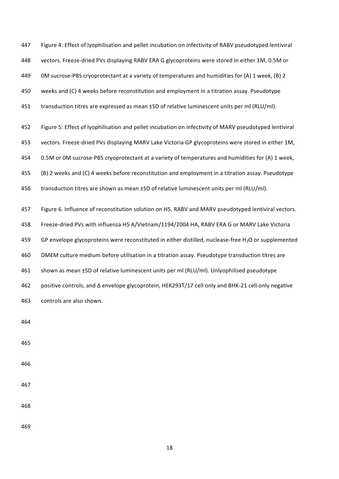447 Figure 4: Effect of lyophilisation and pellet incubation on infectivity of RABV pseudotyped lentiviral 448 vectors. Freeze-dried PVs displaying RABV ERA G glycoproteins were stored in either 1M, 0.5M or 449 OM sucrose-PBS cryoprotectant at a variety of temperatures and humidities for (A) 1 week, (B) 2 450 weeks and (C) 4 weeks before reconstitution and employment in a titration assay. Pseudotype 451 transduction titres are expressed as mean ±SD of relative luminescent units per ml (RLU/ml).

452 Figure 5: Effect of lyophilisation and pellet incubation on infectivity of MARV pseudotyped lentiviral 453 vectors. Freeze-dried PVs displaying MARV Lake Victoria GP glycoproteins were stored in either 1M, 454 0.5M or 0M sucrose-PBS cryoprotectant at a variety of temperatures and humidities for (A) 1 week, 455 (B) 2 weeks and (C) 4 weeks before reconstitution and employment in a titration assay. Pseudotype 456 transduction titres are shown as mean  $\pm$ SD of relative luminescent units per ml (RLU/ml).

457 Figure 6. Influence of reconstitution solution on H5, RABV and MARV pseudotyped lentiviral vectors. 458 Freeze-dried PVs with influenza H5 A/Vietnam/1194/2004 HA, RABV ERA G or MARV Lake Victoria 459 GP envelope glycoproteins were reconstituted in either distilled, nuclease-free H<sub>2</sub>O or supplemented 460 DMEM culture medium before utilisation in a titration assay. Pseudotype transduction titres are 461 shown as mean ±SD of relative luminescent units per ml (RLU/ml). Unlyophilised pseudotype 462 positive controls, and ∆ envelope glycoprotein, HEK293T/17 cell only and BHK-21 cell only negative 463 controls are also shown.

464

465

466

467

468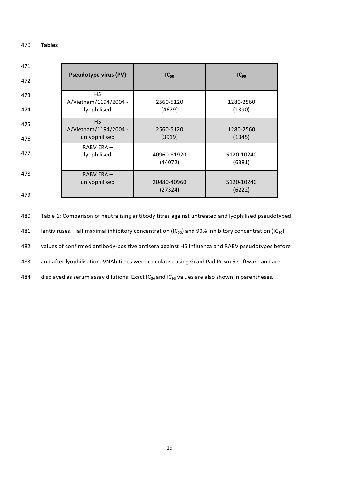#### 470 **Tables**

| 471 |                                         |                        |                      |
|-----|-----------------------------------------|------------------------|----------------------|
| 472 | <b>Pseudotype virus (PV)</b>            | $IC_{50}$              | $IC_{90}$            |
| 473 | H5<br>A/Vietnam/1194/2004 -             | 2560-5120              | 1280-2560            |
| 474 | lyophilised                             | (4679)                 | (1390)               |
| 475 | H <sub>5</sub><br>A/Vietnam/1194/2004 - | 2560-5120              | 1280-2560            |
| 476 | unlyophilised                           | (3919)                 | (1345)               |
| 477 | RABV ERA-<br>lyophilised                | 40960-81920<br>(44072) | 5120-10240<br>(6381) |
| 478 | RABV ERA-<br>unlyophilised              | 20480-40960            | 5120-10240           |
| 479 |                                         | (27324)                | (6222)               |

480 Table 1: Comparison of neutralising antibody titres against untreated and lyophilised pseudotyped 481 lentiviruses. Half maximal inhibitory concentration (IC<sub>50</sub>) and 90% inhibitory concentration (IC<sub>90</sub>) 482 values of confirmed antibody-positive antisera against H5 influenza and RABV pseudotypes before 483 and after lyophilisation. VNAb titres were calculated using GraphPad Prism 5 software and are 484 displayed as serum assay dilutions. Exact  $IC_{50}$  and  $IC_{90}$  values are also shown in parentheses.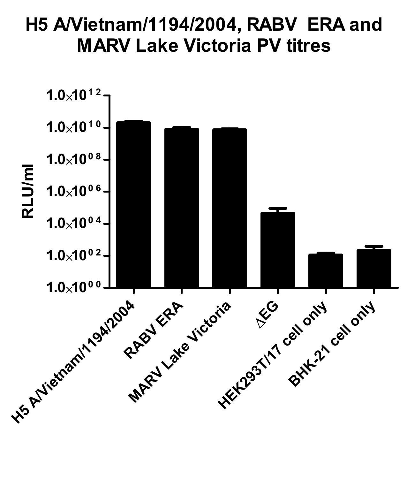#### H5 A/Vietnam/1194/2004, RABV ERA and MARV Lake Victoria PV titres

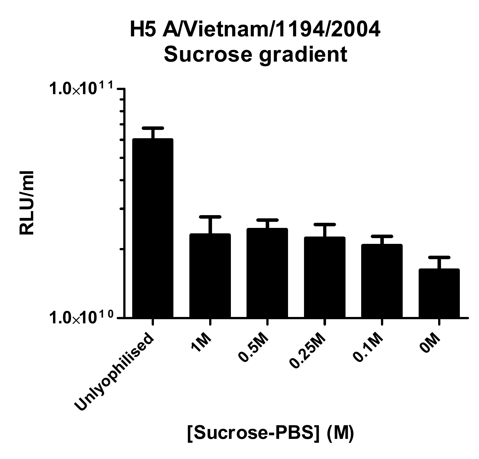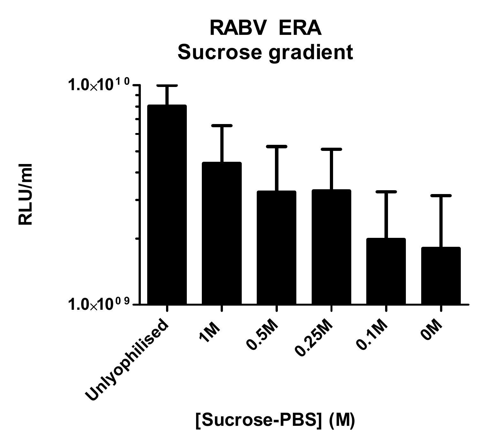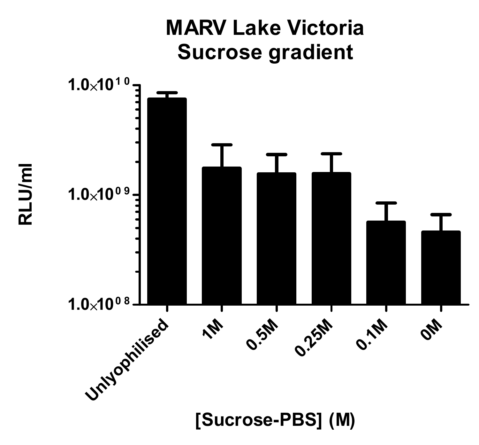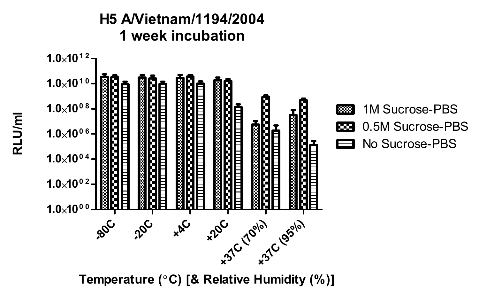#### $1.0\times10^{12}$  $1.0\times10^{10}$  $1.0 \times 10^{0.8}$ ळ्य 2020202020202020202020 œ  $388888888888888888888$  $1.0 \times 10^{0.6}$  $1.0 \times 10^{0.4}$  $1.0 \times 10^{02}$ B Ш  $1.0\times10^{0.0}$  $x^{\alpha}$ C 80C 20C +20C (70%) classlel

Temperature (°C) [& Relative Humidity (%)]

### H5 A/Vietnam/1194/2004 1 week incubation

RLU/ml

1M Sucrose-PBS 0.5M Sucrose-PBS No Sucrose-PBS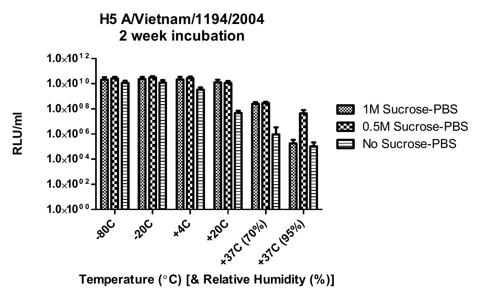

Temperature (°C) [& Relative Humidity (%)]

# RLU/ml

#### H5 A/Vietnam/1194/2004 2 week incubation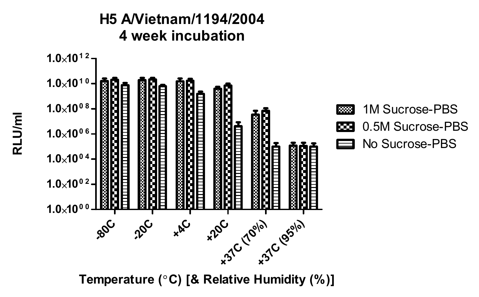

#### H5 A/Vietnam/1194/2004 4 week incubation

Temperature (°C) [& Relative Humidity (%)]

## RLU/ml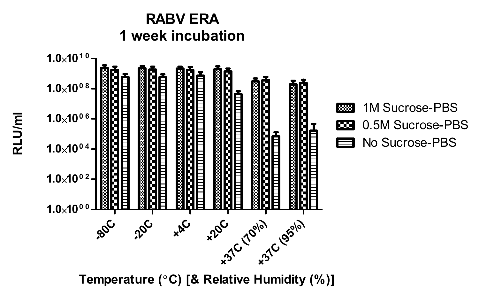### RABV ERA 1 week incubation



Temperature (°C) [& Relative Humidity (%)]

## RLU/ml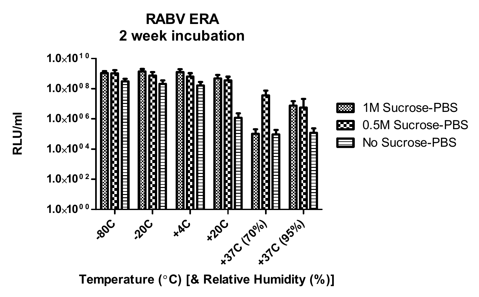

RABV ERA 2 week incubation

Temperature (°C) [& Relative Humidity (%)]

#### 1M Sucrose-PBS ाञ्च 0.5M Sucrose-PBS œ No Sucrose-PBS ⊟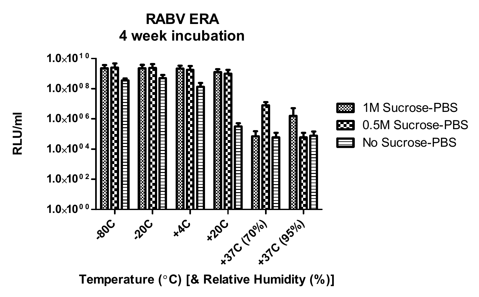

Temperature (°C) [& Relative Humidity (%)]

#### RABV ERA 4 week incubation

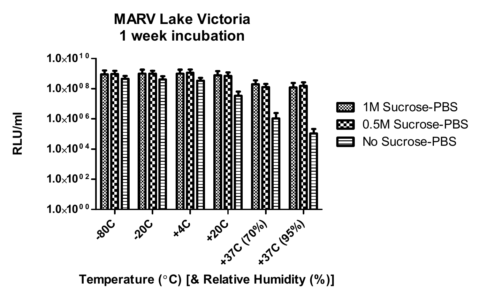

Temperature ( $^{\circ}$ C) [& Relative Humidity (%)]

#### ाळा œ ⊟

1M Sucrose-PBS 0.5M Sucrose-PBS No Sucrose-PBS

### MARV Lake Victoria 1 week incubation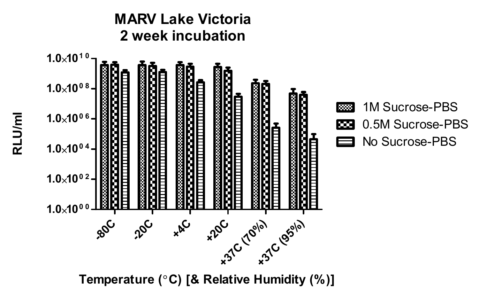#### MARV Lake Victoria 2 week incubation



Temperature (°C) [& Relative Humidity (%)]

## RLU/ml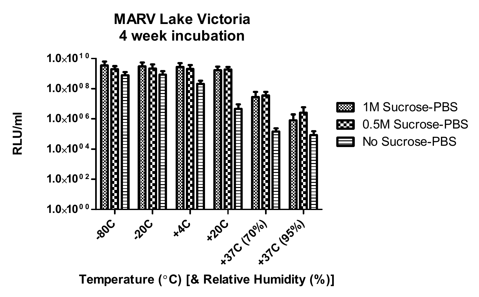

Temperature (°C) [& Relative Humidity (%)]

### MARV Lake Victoria 4 week incubation